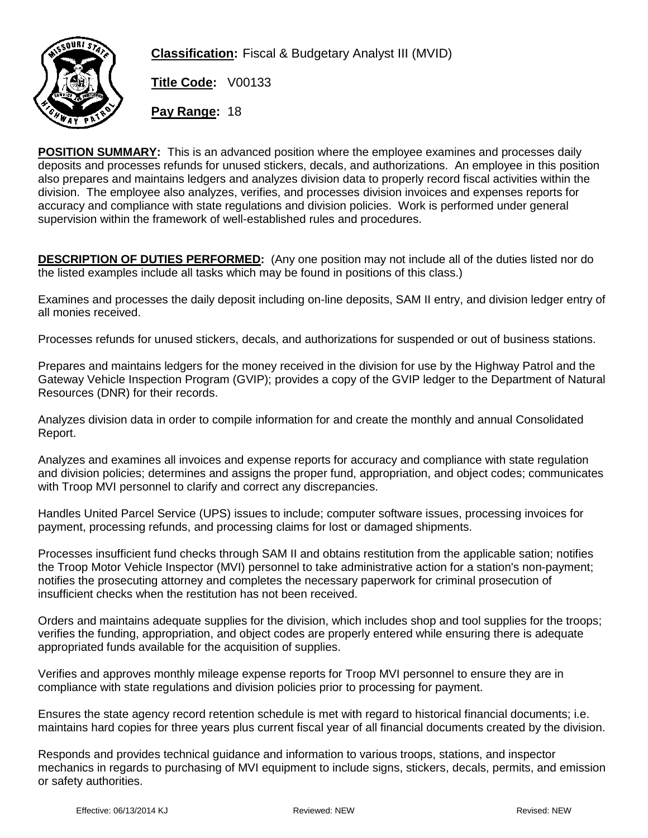

**Classification:** Fiscal & Budgetary Analyst III (MVID)

**Title Code:** V00133

**Pay Range:** 18

**POSITION SUMMARY:** This is an advanced position where the employee examines and processes daily deposits and processes refunds for unused stickers, decals, and authorizations. An employee in this position also prepares and maintains ledgers and analyzes division data to properly record fiscal activities within the division. The employee also analyzes, verifies, and processes division invoices and expenses reports for accuracy and compliance with state regulations and division policies. Work is performed under general supervision within the framework of well-established rules and procedures.

**DESCRIPTION OF DUTIES PERFORMED:** (Any one position may not include all of the duties listed nor do the listed examples include all tasks which may be found in positions of this class.)

Examines and processes the daily deposit including on-line deposits, SAM II entry, and division ledger entry of all monies received.

Processes refunds for unused stickers, decals, and authorizations for suspended or out of business stations.

Prepares and maintains ledgers for the money received in the division for use by the Highway Patrol and the Gateway Vehicle Inspection Program (GVIP); provides a copy of the GVIP ledger to the Department of Natural Resources (DNR) for their records.

Analyzes division data in order to compile information for and create the monthly and annual Consolidated Report.

Analyzes and examines all invoices and expense reports for accuracy and compliance with state regulation and division policies; determines and assigns the proper fund, appropriation, and object codes; communicates with Troop MVI personnel to clarify and correct any discrepancies.

Handles United Parcel Service (UPS) issues to include; computer software issues, processing invoices for payment, processing refunds, and processing claims for lost or damaged shipments.

Processes insufficient fund checks through SAM II and obtains restitution from the applicable sation; notifies the Troop Motor Vehicle Inspector (MVI) personnel to take administrative action for a station's non-payment; notifies the prosecuting attorney and completes the necessary paperwork for criminal prosecution of insufficient checks when the restitution has not been received.

Orders and maintains adequate supplies for the division, which includes shop and tool supplies for the troops; verifies the funding, appropriation, and object codes are properly entered while ensuring there is adequate appropriated funds available for the acquisition of supplies.

Verifies and approves monthly mileage expense reports for Troop MVI personnel to ensure they are in compliance with state regulations and division policies prior to processing for payment.

Ensures the state agency record retention schedule is met with regard to historical financial documents; i.e. maintains hard copies for three years plus current fiscal year of all financial documents created by the division.

Responds and provides technical guidance and information to various troops, stations, and inspector mechanics in regards to purchasing of MVI equipment to include signs, stickers, decals, permits, and emission or safety authorities.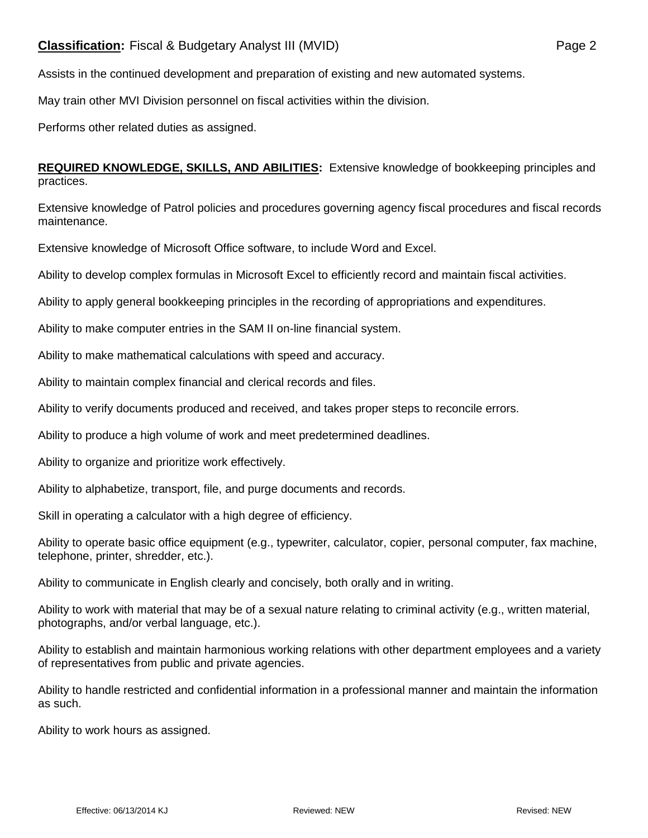Assists in the continued development and preparation of existing and new automated systems.

May train other MVI Division personnel on fiscal activities within the division.

Performs other related duties as assigned.

**REQUIRED KNOWLEDGE, SKILLS, AND ABILITIES:** Extensive knowledge of bookkeeping principles and practices.

Extensive knowledge of Patrol policies and procedures governing agency fiscal procedures and fiscal records maintenance.

Extensive knowledge of Microsoft Office software, to include Word and Excel.

Ability to develop complex formulas in Microsoft Excel to efficiently record and maintain fiscal activities.

Ability to apply general bookkeeping principles in the recording of appropriations and expenditures.

Ability to make computer entries in the SAM II on-line financial system.

Ability to make mathematical calculations with speed and accuracy.

Ability to maintain complex financial and clerical records and files.

Ability to verify documents produced and received, and takes proper steps to reconcile errors.

Ability to produce a high volume of work and meet predetermined deadlines.

Ability to organize and prioritize work effectively.

Ability to alphabetize, transport, file, and purge documents and records.

Skill in operating a calculator with a high degree of efficiency.

Ability to operate basic office equipment (e.g., typewriter, calculator, copier, personal computer, fax machine, telephone, printer, shredder, etc.).

Ability to communicate in English clearly and concisely, both orally and in writing.

Ability to work with material that may be of a sexual nature relating to criminal activity (e.g., written material, photographs, and/or verbal language, etc.).

Ability to establish and maintain harmonious working relations with other department employees and a variety of representatives from public and private agencies.

Ability to handle restricted and confidential information in a professional manner and maintain the information as such.

Ability to work hours as assigned.